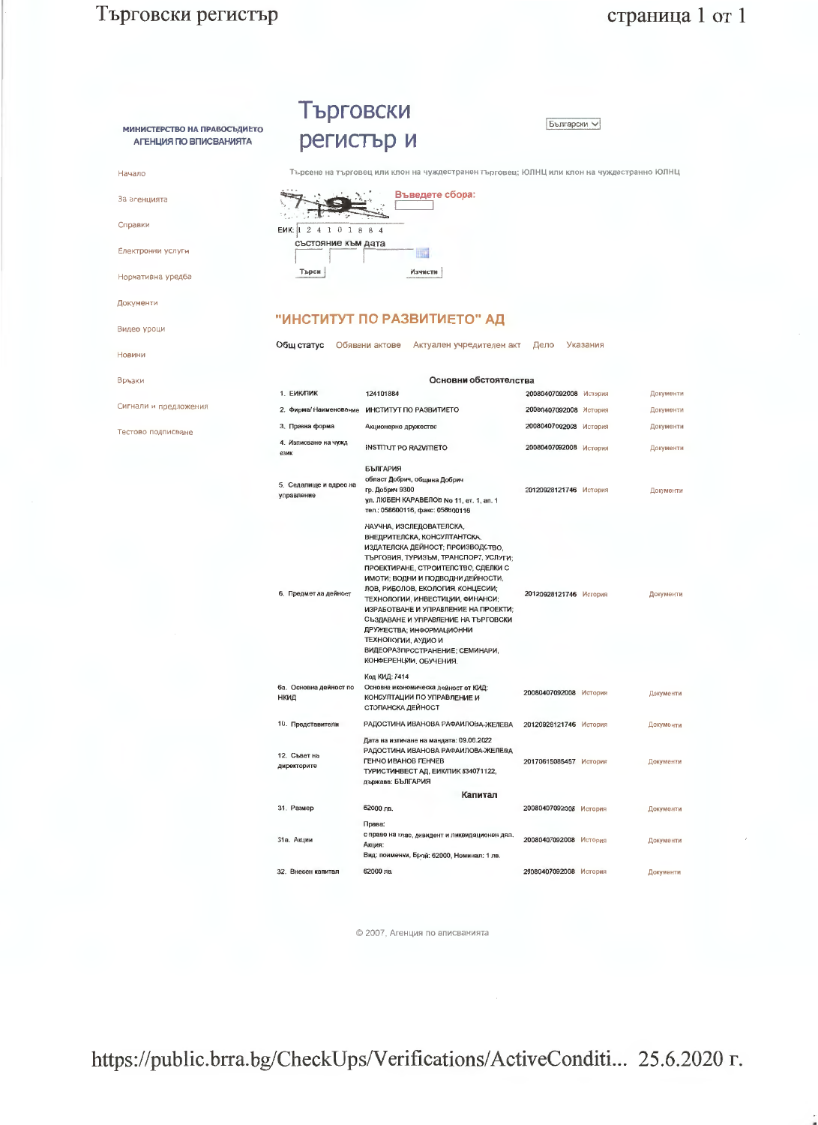## Търговски регистър

## страница 1 от 1

|                                                        | І Ърговски<br>Български ∨<br>регистър и |                                                                                                                                                                                                                                                                                                                                                                                                                                                                                            |                        |          |           |  |  |  |  |
|--------------------------------------------------------|-----------------------------------------|--------------------------------------------------------------------------------------------------------------------------------------------------------------------------------------------------------------------------------------------------------------------------------------------------------------------------------------------------------------------------------------------------------------------------------------------------------------------------------------------|------------------------|----------|-----------|--|--|--|--|
| МИНИСТЕРСТВО НА ПРАВОСЪДИЕТО<br>АГЕНЦИЯ ПО ВПИСВАНИЯТА |                                         |                                                                                                                                                                                                                                                                                                                                                                                                                                                                                            |                        |          |           |  |  |  |  |
| Начало                                                 |                                         | Търсене на търговец или клон на чуждестранен търговец; ЮЛНЦ или клон на чуждестранно ЮЛНЦ                                                                                                                                                                                                                                                                                                                                                                                                  |                        |          |           |  |  |  |  |
| За агенцията                                           |                                         | Въведете сбора:                                                                                                                                                                                                                                                                                                                                                                                                                                                                            |                        |          |           |  |  |  |  |
| Справки                                                | EWK: 1 2 4 1 0 1 8 8 4                  |                                                                                                                                                                                                                                                                                                                                                                                                                                                                                            |                        |          |           |  |  |  |  |
| Електронни услуги                                      | състояние към дата<br>H                 |                                                                                                                                                                                                                                                                                                                                                                                                                                                                                            |                        |          |           |  |  |  |  |
| Нормативна уредба                                      | Търси                                   | Изчисти                                                                                                                                                                                                                                                                                                                                                                                                                                                                                    |                        |          |           |  |  |  |  |
| Документи                                              |                                         |                                                                                                                                                                                                                                                                                                                                                                                                                                                                                            |                        |          |           |  |  |  |  |
| Видео уроци                                            |                                         | "ИНСТИТУТ ПО РАЗВИТИЕТО" АД                                                                                                                                                                                                                                                                                                                                                                                                                                                                |                        |          |           |  |  |  |  |
| Новини                                                 | Общ статус                              | Обявени актове<br>Актуален учредителен акт                                                                                                                                                                                                                                                                                                                                                                                                                                                 | Дело                   | Указания |           |  |  |  |  |
| Връзки                                                 |                                         |                                                                                                                                                                                                                                                                                                                                                                                                                                                                                            | Основни обстоятелства  |          |           |  |  |  |  |
|                                                        | 1. ЕИКЛИК                               | 124101884                                                                                                                                                                                                                                                                                                                                                                                                                                                                                  | 20080407092008 История |          | Документи |  |  |  |  |
| Сигнали и предложения                                  | 2. Фирма/ Наименование                  | ИНСТИТУТ ПО РАЗВИТИЕТО                                                                                                                                                                                                                                                                                                                                                                                                                                                                     | 20080407092008 История |          | Документи |  |  |  |  |
| Тестово подписване                                     | 3. Правна форма                         | Акционерно дружество                                                                                                                                                                                                                                                                                                                                                                                                                                                                       | 20080407092008 История |          | Документи |  |  |  |  |
|                                                        | 4. Изписване на чужд<br>език            | INSTITUT PO RAZVITIETO                                                                                                                                                                                                                                                                                                                                                                                                                                                                     | 20080407092008 История |          | Документи |  |  |  |  |
|                                                        | 5. Седалище и адрес на<br>управление    | <b>БЪЛГАРИЯ</b><br>област Добрич, община Добрич<br>гр. Добрич 9300<br>ул. ЛЮБЕН КАРАВЕЛОВ No 11, ет. 1, ап. 1<br>тел.: 058600116, факс: 058600116                                                                                                                                                                                                                                                                                                                                          | 20120928121746 История |          | Документи |  |  |  |  |
|                                                        | 6. Предмет на дейност                   | НАУЧНА, ИЗСЛЕДОВАТЕЛСКА,<br>ВНЕДРИТЕЛСКА, КОНСУЛТАНТСКА,<br>ИЗДАТЕЛСКА ДЕЙНОСТ; ПРОИЗВОДСТВО,<br>ТЪРГОВИЯ, ТУРИЗЪМ, ТРАНСПОРТ, УСЛУГИ;<br>ПРОЕКТИРАНЕ, СТРОИТЕЛСТВО, СДЕЛКИ С<br>ИМОТИ; ВОДНИ И ПОДВОДНИ ДЕЙНОСТИ,<br>ЛОВ, РИБОЛОВ, ЕКОЛОГИЯ, КОНЦЕСИИ;<br>ТЕХНОЛОГИИ, ИНВЕСТИЦИИ, ФИНАНСИ;<br>ИЗРАБОТВАНЕ И УПРАВЛЕНИЕ НА ПРОЕКТИ;<br>СЪЗДАВАНЕ И УПРАВЛЕНИЕ НА ТЪРГОВСКИ<br>ДРУЖЕСТВА; ИНФОРМАЦИОННИ<br>ТЕХНОЛОГИИ, АУДИО И<br>ВИДЕОРАЗПРОСТРАНЕНИЕ; СЕМИНАРИ,<br>КОНФЕРЕНЦИИ, ОБУЧЕНИЯ. | 20120928121746 История |          | Документи |  |  |  |  |
|                                                        | ба. Основна дейност по<br>НКИД          | Код КИД: 7414<br>Основна икономическа дейност от КИД:<br>КОНСУЛТАЦИИ ПО УПРАВЛЕНИЕ И<br>СТОПАНСКА ДЕЙНОСТ                                                                                                                                                                                                                                                                                                                                                                                  | 20080407092008 История |          | Документи |  |  |  |  |
|                                                        | 10. Представители                       | РАДОСТИНА ИВАНОВА РАФАИЛОВА-ЖЕЛЕВА                                                                                                                                                                                                                                                                                                                                                                                                                                                         | 20120928121746 История |          | Документи |  |  |  |  |
|                                                        | 12. Съвет на<br>директорите             | Дата на изтичане на мандата: 09.06.2022<br>РАДОСТИНА ИВАНОВА РАФАИЛОВА-ЖЕЛЕВА<br><b>ΓΕΗΥΟ ИВАНОВ ΓΕΗΥΕΒ</b><br>ТУРИСТИНВЕСТ АД, ЕИКЛИК 834071122,<br>държава: БЪЛГАРИЯ                                                                                                                                                                                                                                                                                                                     | 20170615085457 История |          | Документи |  |  |  |  |
|                                                        |                                         | Капитал                                                                                                                                                                                                                                                                                                                                                                                                                                                                                    |                        |          |           |  |  |  |  |
|                                                        | 31. Размер                              | 62000 лв.                                                                                                                                                                                                                                                                                                                                                                                                                                                                                  | 20080407092008 История |          | Документи |  |  |  |  |
|                                                        | З1а. Акции                              | Права:<br>с право на глас, дивидент и ликвидационен дял.<br>Акция:<br>Вид: поименки, Брой: 62000, Номинал: 1 лв.                                                                                                                                                                                                                                                                                                                                                                           | 20080407092008 История |          | Документи |  |  |  |  |
|                                                        | $\mathbf{c}$<br>$D_{11}$                | eann <sub>s</sub>                                                                                                                                                                                                                                                                                                                                                                                                                                                                          | 20080407002008 14      |          |           |  |  |  |  |

© 2007, Агенция по вписванията

https://public.brra.bg/CheckUps/Verifications/ActiveConditi... 25.6.2020 r.